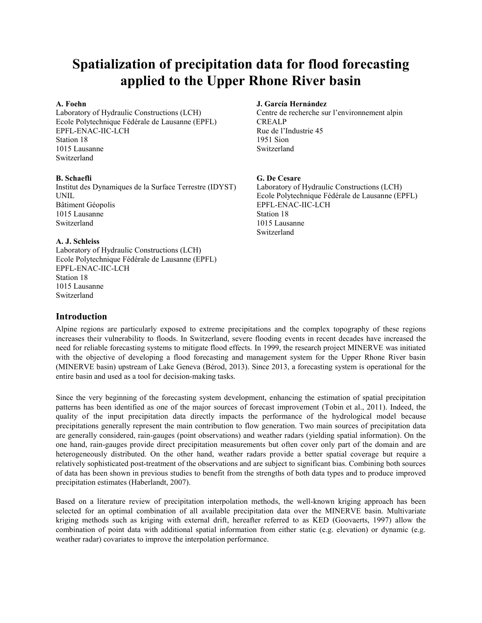# **Spatialization of precipitation data for flood forecasting applied to the Upper Rhone River basin**

Ecole Polytechnique Fédérale de Lausanne (EPFL) CREALP EPFL-ENAC-IIC-LCH Rue de l'Industrie 45 Station 18 1951 Sion 1015 Lausanne Switzerland Switzerland

Institut des Dynamiques de la Surface Terrestre (IDYST) Laboratory of Hydraulic Constructions (LCH) UNIL Ecole Polytechnique Fédérale de Lausanne (EPFL) Bâtiment Géopolis EPFL-ENAC-IIC-LCH 1015 Lausanne Station 18 Switzerland 1015 Lausanne

#### **A. J. Schleiss**

Laboratory of Hydraulic Constructions (LCH) Ecole Polytechnique Fédérale de Lausanne (EPFL) EPFL-ENAC-IIC-LCH Station 18 1015 Lausanne Switzerland

#### **A. Foehn J. García Hernández**

Laboratory of Hydraulic Constructions (LCH) Centre de recherche sur l'environnement alpin

#### **B. Schaefli G. De Cesare**

Switzerland

### **Introduction**

Alpine regions are particularly exposed to extreme precipitations and the complex topography of these regions increases their vulnerability to floods. In Switzerland, severe flooding events in recent decades have increased the need for reliable forecasting systems to mitigate flood effects. In 1999, the research project MINERVE was initiated with the objective of developing a flood forecasting and management system for the Upper Rhone River basin (MINERVE basin) upstream of Lake Geneva (Bérod, 2013). Since 2013, a forecasting system is operational for the entire basin and used as a tool for decision-making tasks.

Since the very beginning of the forecasting system development, enhancing the estimation of spatial precipitation patterns has been identified as one of the major sources of forecast improvement (Tobin et al., 2011). Indeed, the quality of the input precipitation data directly impacts the performance of the hydrological model because precipitations generally represent the main contribution to flow generation. Two main sources of precipitation data are generally considered, rain-gauges (point observations) and weather radars (yielding spatial information). On the one hand, rain-gauges provide direct precipitation measurements but often cover only part of the domain and are heterogeneously distributed. On the other hand, weather radars provide a better spatial coverage but require a relatively sophisticated post-treatment of the observations and are subject to significant bias. Combining both sources of data has been shown in previous studies to benefit from the strengths of both data types and to produce improved precipitation estimates (Haberlandt, 2007).

Based on a literature review of precipitation interpolation methods, the well-known kriging approach has been selected for an optimal combination of all available precipitation data over the MINERVE basin. Multivariate kriging methods such as kriging with external drift, hereafter referred to as KED (Goovaerts, 1997) allow the combination of point data with additional spatial information from either static (e.g. elevation) or dynamic (e.g. weather radar) covariates to improve the interpolation performance.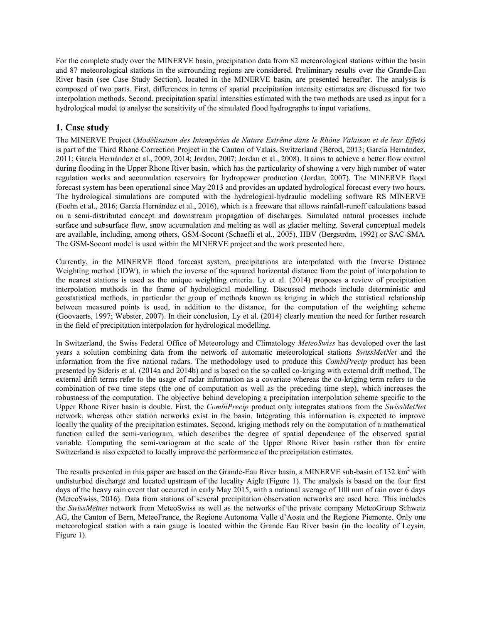For the complete study over the MINERVE basin, precipitation data from 82 meteorological stations within the basin and 87 meteorological stations in the surrounding regions are considered. Preliminary results over the Grande-Eau River basin (see Case Study Section), located in the MINERVE basin, are presented hereafter. The analysis is composed of two parts. First, differences in terms of spatial precipitation intensity estimates are discussed for two interpolation methods. Second, precipitation spatial intensities estimated with the two methods are used as input for a hydrological model to analyse the sensitivity of the simulated flood hydrographs to input variations.

## **1. Case study**

The MINERVE Project (*Modélisation des Intempéries de Nature Extrême dans le Rhône Valaisan et de leur Effets)* is part of the Third Rhone Correction Project in the Canton of Valais, Switzerland (Bérod, 2013; García Hernández, 2011; García Hernández et al., 2009, 2014; Jordan, 2007; Jordan et al., 2008). It aims to achieve a better flow control during flooding in the Upper Rhone River basin, which has the particularity of showing a very high number of water regulation works and accumulation reservoirs for hydropower production (Jordan, 2007). The MINERVE flood forecast system has been operational since May 2013 and provides an updated hydrological forecast every two hours. The hydrological simulations are computed with the hydrological-hydraulic modelling software RS MINERVE (Foehn et al., 2016; García Hernández et al., 2016), which is a freeware that allows rainfall-runoff calculations based on a semi-distributed concept and downstream propagation of discharges. Simulated natural processes include surface and subsurface flow, snow accumulation and melting as well as glacier melting. Several conceptual models are available, including, among others, GSM-Socont (Schaefli et al., 2005), HBV (Bergström, 1992) or SAC-SMA. The GSM-Socont model is used within the MINERVE project and the work presented here.

Currently, in the MINERVE flood forecast system, precipitations are interpolated with the Inverse Distance Weighting method (IDW), in which the inverse of the squared horizontal distance from the point of interpolation to the nearest stations is used as the unique weighting criteria. Ly et al. (2014) proposes a review of precipitation interpolation methods in the frame of hydrological modelling. Discussed methods include deterministic and geostatistical methods, in particular the group of methods known as kriging in which the statistical relationship between measured points is used, in addition to the distance, for the computation of the weighting scheme (Goovaerts, 1997; Webster, 2007). In their conclusion, Ly et al. (2014) clearly mention the need for further research in the field of precipitation interpolation for hydrological modelling.

In Switzerland, the Swiss Federal Office of Meteorology and Climatology *MeteoSwiss* has developed over the last years a solution combining data from the network of automatic meteorological stations *SwissMetNet* and the information from the five national radars. The methodology used to produce this *CombiPrecip* product has been presented by Sideris et al. (2014a and 2014b) and is based on the so called co-kriging with external drift method. The external drift terms refer to the usage of radar information as a covariate whereas the co-kriging term refers to the combination of two time steps (the one of computation as well as the preceding time step), which increases the robustness of the computation. The objective behind developing a precipitation interpolation scheme specific to the Upper Rhone River basin is double. First, the *CombiPrecip* product only integrates stations from the *SwissMetNet* network, whereas other station networks exist in the basin. Integrating this information is expected to improve locally the quality of the precipitation estimates. Second, kriging methods rely on the computation of a mathematical function called the semi-variogram, which describes the degree of spatial dependence of the observed spatial variable. Computing the semi-variogram at the scale of the Upper Rhone River basin rather than for entire Switzerland is also expected to locally improve the performance of the precipitation estimates.

The results presented in this paper are based on the Grande-Eau River basin, a MINERVE sub-basin of 132 km<sup>2</sup> with undisturbed discharge and located upstream of the locality Aigle (Figure 1). The analysis is based on the four first days of the heavy rain event that occurred in early May 2015, with a national average of 100 mm of rain over 6 days (MeteoSwiss, 2016). Data from stations of several precipitation observation networks are used here. This includes the *SwissMetnet* network from MeteoSwiss as well as the networks of the private company MeteoGroup Schweiz AG, the Canton of Bern, MeteoFrance, the Regione Autonoma Valle d'Aosta and the Regione Piemonte. Only one meteorological station with a rain gauge is located within the Grande Eau River basin (in the locality of Leysin, Figure 1).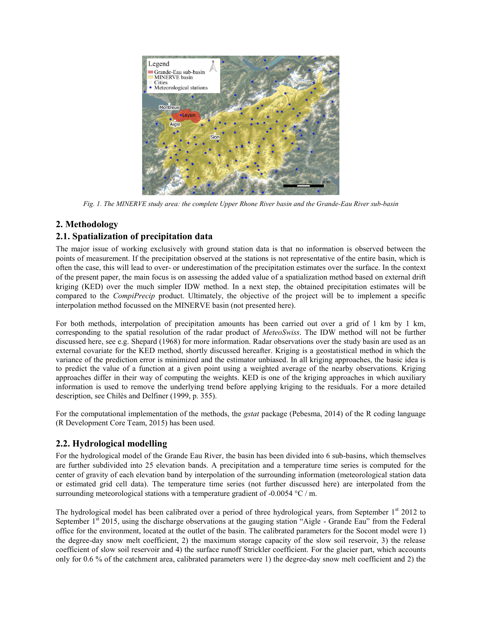

*Fig. 1. The MINERVE study area: the complete Upper Rhone River basin and the Grande-Eau River sub-basin*

## **2. Methodology**

## **2.1. Spatialization of precipitation data**

The major issue of working exclusively with ground station data is that no information is observed between the points of measurement. If the precipitation observed at the stations is not representative of the entire basin, which is often the case, this will lead to over- or underestimation of the precipitation estimates over the surface. In the context of the present paper, the main focus is on assessing the added value of a spatialization method based on external drift kriging (KED) over the much simpler IDW method. In a next step, the obtained precipitation estimates will be compared to the *CompiPrecip* product. Ultimately, the objective of the project will be to implement a specific interpolation method focussed on the MINERVE basin (not presented here).

For both methods, interpolation of precipitation amounts has been carried out over a grid of 1 km by 1 km, corresponding to the spatial resolution of the radar product of *MeteoSwiss*. The IDW method will not be further discussed here, see e.g. Shepard (1968) for more information. Radar observations over the study basin are used as an external covariate for the KED method, shortly discussed hereafter. Kriging is a geostatistical method in which the variance of the prediction error is minimized and the estimator unbiased. In all kriging approaches, the basic idea is to predict the value of a function at a given point using a weighted average of the nearby observations. Kriging approaches differ in their way of computing the weights. KED is one of the kriging approaches in which auxiliary information is used to remove the underlying trend before applying kriging to the residuals. For a more detailed description, see Chilès and Delfiner (1999, p. 355).

For the computational implementation of the methods, the *gstat* package (Pebesma, 2014) of the R coding language (R Development Core Team, 2015) has been used.

## **2.2. Hydrological modelling**

For the hydrological model of the Grande Eau River, the basin has been divided into 6 sub-basins, which themselves are further subdivided into 25 elevation bands. A precipitation and a temperature time series is computed for the center of gravity of each elevation band by interpolation of the surrounding information (meteorological station data or estimated grid cell data). The temperature time series (not further discussed here) are interpolated from the surrounding meteorological stations with a temperature gradient of -0.0054 °C / m.

The hydrological model has been calibrated over a period of three hydrological years, from September 1<sup>st</sup> 2012 to September  $1<sup>st</sup>$  2015, using the discharge observations at the gauging station "Aigle - Grande Eau" from the Federal office for the environment, located at the outlet of the basin. The calibrated parameters for the Socont model were 1) the degree-day snow melt coefficient, 2) the maximum storage capacity of the slow soil reservoir, 3) the release coefficient of slow soil reservoir and 4) the surface runoff Strickler coefficient. For the glacier part, which accounts only for 0.6 % of the catchment area, calibrated parameters were 1) the degree-day snow melt coefficient and 2) the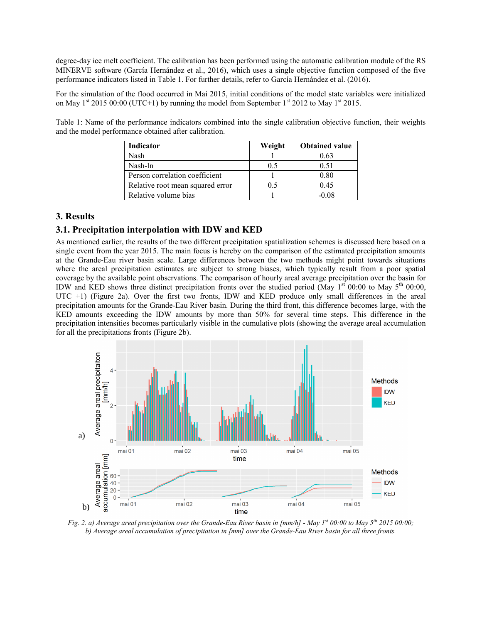degree-day ice melt coefficient. The calibration has been performed using the automatic calibration module of the RS MINERVE software (García Hernández et al., 2016), which uses a single objective function composed of the five performance indicators listed in Table 1. For further details, refer to García Hernández et al. (2016).

For the simulation of the flood occurred in Mai 2015, initial conditions of the model state variables were initialized on May 1<sup>st</sup> 2015 00:00 (UTC+1) by running the model from September 1<sup>st</sup> 2012 to May 1<sup>st</sup> 2015.

Table 1: Name of the performance indicators combined into the single calibration objective function, their weights and the model performance obtained after calibration.

| Indicator                        | Weight | <b>Obtained value</b> |
|----------------------------------|--------|-----------------------|
| Nash                             |        | 0.63                  |
| Nash-ln                          | 0.5    | 0.51                  |
| Person correlation coefficient   |        | 0.80                  |
| Relative root mean squared error | 0.5    | 0.45                  |
| Relative volume bias             |        | $-0.08$               |

## **3. Results**

## **3.1. Precipitation interpolation with IDW and KED**

As mentioned earlier, the results of the two different precipitation spatialization schemes is discussed here based on a single event from the year 2015. The main focus is hereby on the comparison of the estimated precipitation amounts at the Grande-Eau river basin scale. Large differences between the two methods might point towards situations where the areal precipitation estimates are subject to strong biases, which typically result from a poor spatial coverage by the available point observations. The comparison of hourly areal average precipitation over the basin for IDW and KED shows three distinct precipitation fronts over the studied period (May  $1^{st}$  00:00 to May  $5^{th}$  00:00, UTC +1) (Figure 2a). Over the first two fronts, IDW and KED produce only small differences in the areal precipitation amounts for the Grande-Eau River basin. During the third front, this difference becomes large, with the KED amounts exceeding the IDW amounts by more than 50% for several time steps. This difference in the precipitation intensities becomes particularly visible in the cumulative plots (showing the average areal accumulation for all the precipitations fronts (Figure 2b).



*Fig. 2. a) Average areal precipitation over the Grande-Eau River basin in [mm/h] - May 1st 00:00 to May 5 th 2015 00:00; b) Average areal accumulation of precipitation in [mm] over the Grande-Eau River basin for all three fronts.*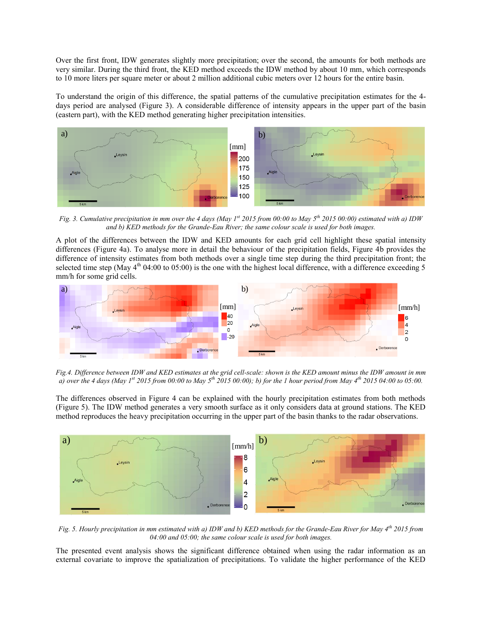Over the first front, IDW generates slightly more precipitation; over the second, the amounts for both methods are very similar. During the third front, the KED method exceeds the IDW method by about 10 mm, which corresponds to 10 more liters per square meter or about 2 million additional cubic meters over 12 hours for the entire basin.

To understand the origin of this difference, the spatial patterns of the cumulative precipitation estimates for the 4 days period are analysed (Figure 3). A considerable difference of intensity appears in the upper part of the basin (eastern part), with the KED method generating higher precipitation intensities.



*Fig.* 3. Cumulative precipitation in mm over the 4 days (May 1<sup>st</sup> 2015 from 00:00 to May 5<sup>th</sup> 2015 00:00) estimated with a) IDW *and b) KED methods for the Grande-Eau River; the same colour scale is used for both images.*

A plot of the differences between the IDW and KED amounts for each grid cell highlight these spatial intensity differences (Figure 4a). To analyse more in detail the behaviour of the precipitation fields, Figure 4b provides the difference of intensity estimates from both methods over a single time step during the third precipitation front; the selected time step (May  $4^{\text{th}}$  04:00 to 05:00) is the one with the highest local difference, with a difference exceeding 5 mm/h for some grid cells.



*Fig.4. Difference between IDW and KED estimates at the grid cell-scale: shown is the KED amount minus the IDW amount in mm a) over the 4 days (May 1st 2015 from 00:00 to May 5 th 2015 00:00); b) for the 1 hour period from May 4th 2015 04:00 to 05:00.*

The differences observed in Figure 4 can be explained with the hourly precipitation estimates from both methods (Figure 5). The IDW method generates a very smooth surface as it only considers data at ground stations. The KED method reproduces the heavy precipitation occurring in the upper part of the basin thanks to the radar observations.



*Fig. 5. Hourly precipitation in mm estimated with a) IDW and b) KED methods for the Grande-Eau River for May 4th 2015 from 04:00 and 05:00; the same colour scale is used for both images.*

The presented event analysis shows the significant difference obtained when using the radar information as an external covariate to improve the spatialization of precipitations. To validate the higher performance of the KED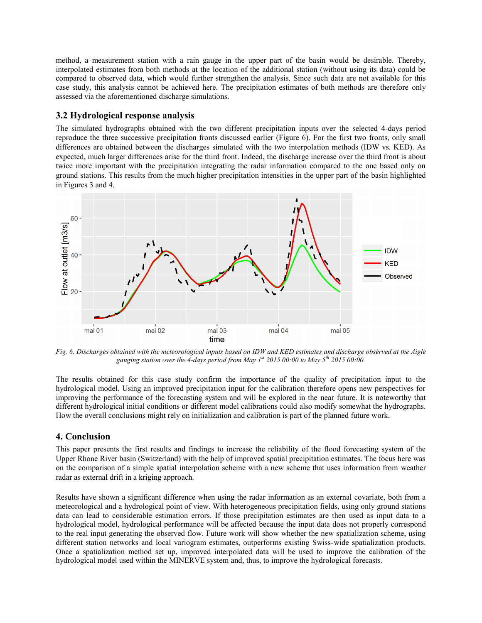method, a measurement station with a rain gauge in the upper part of the basin would be desirable. Thereby, interpolated estimates from both methods at the location of the additional station (without using its data) could be compared to observed data, which would further strengthen the analysis. Since such data are not available for this case study, this analysis cannot be achieved here. The precipitation estimates of both methods are therefore only assessed via the aforementioned discharge simulations.

## **3.2 Hydrological response analysis**

The simulated hydrographs obtained with the two different precipitation inputs over the selected 4-days period reproduce the three successive precipitation fronts discussed earlier (Figure 6). For the first two fronts, only small differences are obtained between the discharges simulated with the two interpolation methods (IDW vs. KED). As expected, much larger differences arise for the third front. Indeed, the discharge increase over the third front is about twice more important with the precipitation integrating the radar information compared to the one based only on ground stations. This results from the much higher precipitation intensities in the upper part of the basin highlighted in Figures 3 and 4.



*Fig. 6. Discharges obtained with the meteorological inputs based on IDW and KED estimates and discharge observed at the Aigle gauging station over the 4-days period from May 1st 2015 00:00 to May 5th 2015 00:00.*

The results obtained for this case study confirm the importance of the quality of precipitation input to the hydrological model. Using an improved precipitation input for the calibration therefore opens new perspectives for improving the performance of the forecasting system and will be explored in the near future. It is noteworthy that different hydrological initial conditions or different model calibrations could also modify somewhat the hydrographs. How the overall conclusions might rely on initialization and calibration is part of the planned future work.

## **4. Conclusion**

This paper presents the first results and findings to increase the reliability of the flood forecasting system of the Upper Rhone River basin (Switzerland) with the help of improved spatial precipitation estimates. The focus here was on the comparison of a simple spatial interpolation scheme with a new scheme that uses information from weather radar as external drift in a kriging approach.

Results have shown a significant difference when using the radar information as an external covariate, both from a meteorological and a hydrological point of view. With heterogeneous precipitation fields, using only ground stations data can lead to considerable estimation errors. If those precipitation estimates are then used as input data to a hydrological model, hydrological performance will be affected because the input data does not properly correspond to the real input generating the observed flow. Future work will show whether the new spatialization scheme, using different station networks and local variogram estimates, outperforms existing Swiss-wide spatialization products. Once a spatialization method set up, improved interpolated data will be used to improve the calibration of the hydrological model used within the MINERVE system and, thus, to improve the hydrological forecasts.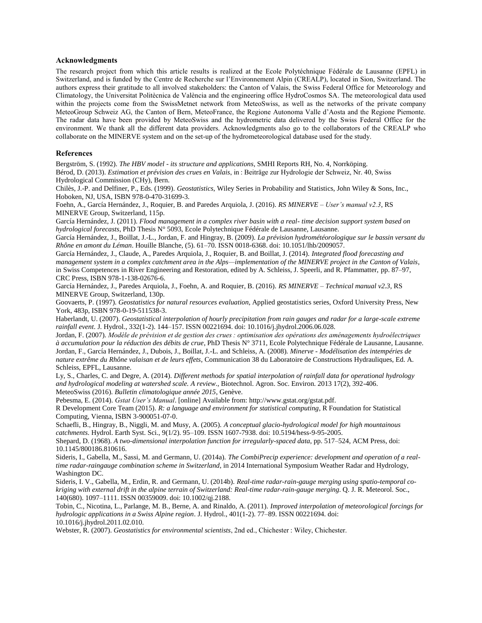#### **Acknowledgments**

The research project from which this article results is realized at the Ecole Polytéchnique Fédérale de Lausanne (EPFL) in Switzerland, and is funded by the Centre de Recherche sur l'Environnement Alpin (CREALP), located in Sion, Switzerland. The authors express their gratitude to all involved stakeholders: the Canton of Valais, the Swiss Federal Office for Meteorology and Climatology, the Universitat Politècnica de València and the engineering office HydroCosmos SA. The meteorological data used within the projects come from the SwissMetnet network from MeteoSwiss, as well as the networks of the private company MeteoGroup Schweiz AG, the Canton of Bern, MeteoFrance, the Regione Autonoma Valle d'Aosta and the Regione Piemonte. The radar data have been provided by MeteoSwiss and the hydrometric data delivered by the Swiss Federal Office for the environment. We thank all the different data providers. Acknowledgments also go to the collaborators of the CREALP who collaborate on the MINERVE system and on the set-up of the hydrometeorological database used for the study.

#### **References**

Bergström, S. (1992). *The HBV model - its structure and applications*, SMHI Reports RH, No. 4, Norrköping.

Bérod, D. (2013). *Estimation et prévision des crues en Valais*, in : Beiträge zur Hydrologie der Schweiz, Nr. 40, Swiss Hydrological Commission (CHy), Bern.

Chilès, J.-P. and Delfiner, P., Eds. (1999). *Geostatistics*, Wiley Series in Probability and Statistics, John Wiley & Sons, Inc., Hoboken, NJ, USA, ISBN 978-0-470-31699-3.

Foehn, A., García Hernández, J., Roquier, B. and Paredes Arquiola, J. (2016). *RS MINERVE – User's manual v2.3*, RS MINERVE Group, Switzerland, 115p.

García Hernández, J. (2011). *Flood management in a complex river basin with a real- time decision support system based on hydrological forecasts*, PhD Thesis N° 5093, Ecole Polytechnique Fédérale de Lausanne, Lausanne.

García Hernández, J., Boillat, J.-L., Jordan, F. and Hingray, B. (2009). *La prévision hydrométéorologique sur le bassin versant du Rhône en amont du Léman*. Houille Blanche, (5). 61–70. ISSN 0018-6368. doi: 10.1051/lhb/2009057.

García Hernández, J., Claude, A., Paredes Arquiola, J., Roquier, B. and Boillat, J. (2014). *Integrated flood forecasting and management system in a complex catchment area in the Alps—implementation of the MINERVE project in the Canton of Valais*, in Swiss Competences in River Engineering and Restoration, edited by A. Schleiss, J. Speerli, and R. Pfammatter, pp. 87–97, CRC Press, ISBN 978-1-138-02676-6.

García Hernández, J., Paredes Arquiola, J., Foehn, A. and Roquier, B. (2016). *RS MINERVE – Technical manual v2.3*, RS MINERVE Group, Switzerland, 130p.

Goovaerts, P. (1997). *Geostatistics for natural resources evaluation*, Applied geostatistics series, Oxford University Press, New York, 483p, ISBN 978-0-19-511538-3.

Haberlandt, U. (2007). *Geostatistical interpolation of hourly precipitation from rain gauges and radar for a large-scale extreme rainfall event*. J. Hydrol., 332(1-2). 144–157. ISSN 00221694. doi: 10.1016/j.jhydrol.2006.06.028.

Jordan, F. (2007). *Modèle de prévision et de gestion des crues : optimisation des opérations des aménagements hydroélectriques à accumulation pour la réduction des débits de crue*, PhD Thesis N° 3711, Ecole Polytechnique Fédérale de Lausanne, Lausanne. Jordan, F., García Hernández, J., Dubois, J., Boillat, J.-L. and Schleiss, A. (2008). *Minerve - Modélisation des intempéries de nature extrême du Rhône valaisan et de leurs effets*, Communication 38 du Laboratoire de Constructions Hydrauliques, Ed. A. Schleiss, EPFL, Lausanne.

Ly, S., Charles, C. and Degre, A. (2014). *Different methods for spatial interpolation of rainfall data for operational hydrology and hydrological modeling at watershed scale. A review*., Biotechnol. Agron. Soc. Environ. 2013 17(2), 392-406. MeteoSwiss (2016). *Bulletin climatologique année 2015*, Genève.

Pebesma, E. (2014). *Gstat User's Manual*. [online] Available from: http://www.gstat.org/gstat.pdf.

R Development Core Team (2015). *R: a language and environment for statistical computing*, R Foundation for Statistical Computing, Vienna, ISBN 3-900051-07-0.

Schaefli, B., Hingray, B., Niggli, M. and Musy, A. (2005). *A conceptual glacio-hydrological model for high mountainous catchments*. Hydrol. Earth Syst. Sci., 9(1/2). 95–109. ISSN 1607-7938. doi: 10.5194/hess-9-95-2005.

Shepard, D. (1968). *A two-dimensional interpolation function for irregularly-spaced data*, pp. 517–524, ACM Press, doi: 10.1145/800186.810616.

Sideris, I., Gabella, M., Sassi, M. and Germann, U. (2014a). *The CombiPrecip experience: development and operation of a realtime radar-raingauge combination scheme in Switzerland*, in 2014 International Symposium Weather Radar and Hydrology, Washington DC.

Sideris, I. V., Gabella, M., Erdin, R. and Germann, U. (2014b). *Real-time radar-rain-gauge merging using spatio-temporal cokriging with external drift in the alpine terrain of Switzerland: Real-time radar-rain-gauge merging*. Q. J. R. Meteorol. Soc., 140(680). 1097–1111. ISSN 00359009. doi: 10.1002/qj.2188.

Tobin, C., Nicotina, L., Parlange, M. B., Berne, A. and Rinaldo, A. (2011). *Improved interpolation of meteorological forcings for hydrologic applications in a Swiss Alpine region*. J. Hydrol., 401(1-2). 77–89. ISSN 00221694. doi: 10.1016/j.jhydrol.2011.02.010.

Webster, R. (2007). *Geostatistics for environmental scientists*, 2nd ed., Chichester : Wiley, Chichester.